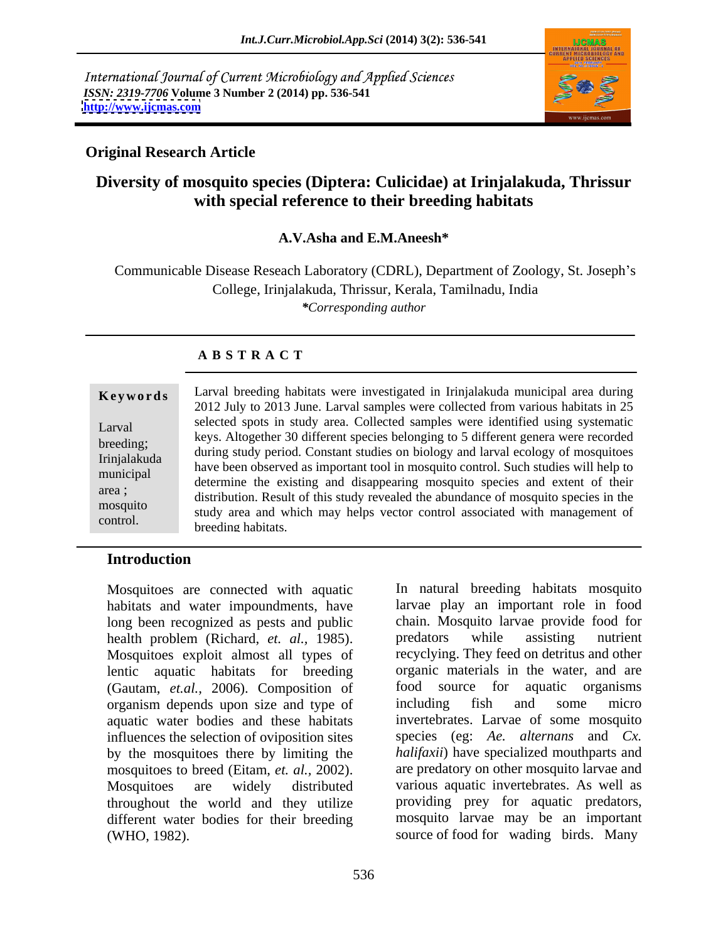International Journal of Current Microbiology and Applied Sciences *ISSN: 2319-7706* **Volume 3 Number 2 (2014) pp. 536-541 <http://www.ijcmas.com>**



# **Original Research Article**

# **Diversity of mosquito species (Diptera: Culicidae) at Irinjalakuda, Thrissur with special reference to their breeding habitats**

### **A.V.Asha and E.M.Aneesh\***

Communicable Disease Reseach Laboratory (CDRL), Department of Zoology, St. Joseph's College, Irinjalakuda, Thrissur, Kerala, Tamilnadu, India *\*Corresponding author*

### **A B S T R A C T**

| selected spots in study area. Collected samples were identified using systematic<br>Larval<br>keys. Altogether 30 different species belonging to 5 different genera were recorded<br>breeding;<br>during study period. Constant studies on biology and larval ecology of mosquitoes<br>Irinjalakuda<br>have been observed as important tool in mosquito control. Such studies will help to<br>municipal<br>determine the existing and disappearing mosquito species and extent of their<br>area;<br>distribution. Result of this study revealed the abundance of mosquito species in the | Keywords | Larval breeding habitats were investigated in Irinjalakuda municipal area during<br>2012 July to 2013 June. Larval samples were collected from various habitats in 25 |  |  |
|------------------------------------------------------------------------------------------------------------------------------------------------------------------------------------------------------------------------------------------------------------------------------------------------------------------------------------------------------------------------------------------------------------------------------------------------------------------------------------------------------------------------------------------------------------------------------------------|----------|-----------------------------------------------------------------------------------------------------------------------------------------------------------------------|--|--|
| control.                                                                                                                                                                                                                                                                                                                                                                                                                                                                                                                                                                                 | mosquito | study area and which may helps vector control associated with management of                                                                                           |  |  |

### **Introduction**

habitats and water impoundments, have long been recognized as pests and public health problem (Richard, *et. al.,* 1985). Mosquitoes exploit almost all types of recyclying. They feed on detritus and other lentic aquatic habitats for breeding (Gautam, *et.al.*, 2006). Composition of food source for aquatic organisms organisms organisms (Gautam) organisms organisms organisms organisms organisms organisms organisms organisms organisms organisms organisms organism organism depends upon size and type of aquatic water bodies and these habitats influences the selection of oviposition sites by the mosquitoes there by limiting the mosquitoes to breed (Eitam, *et. al.,* 2002). Mosquitoes are widely distributed various aquatic invertebrates. As well as throughout the world and they utilize different water bodies for their breeding (WHO, 1982). source of food for wading birds. Many

Mosquitoes are connected with aquatic In natural breeding habitats mosquito larvae play an important role in food chain. Mosquito larvae provide food for predators while assisting nutrient organic materials in the water, and are food source for aquatic organisms including fish and some micro invertebrates. Larvae of some mosquito species (eg: *Ae. alternans* and *Cx. halifaxii*) have specialized mouthparts and are predatory on other mosquito larvae and providing prey for aquatic predators, mosquito larvae may be an important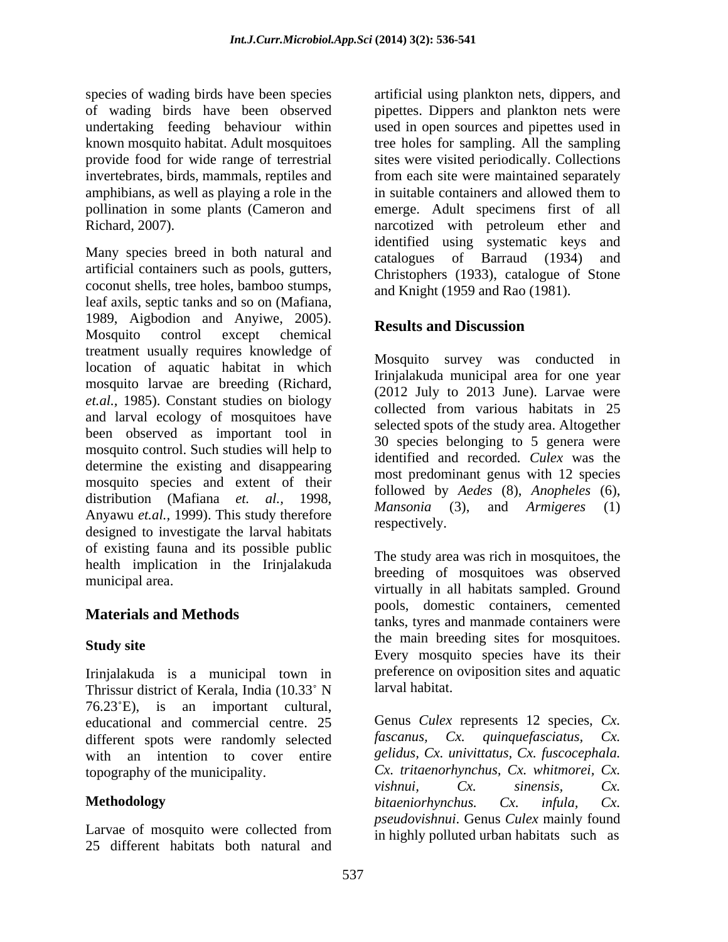amphibians, as well as playing a role in the

Many species breed in both natural and catalogues of Barraud (1934) and artificial containers such as pools, gutters, coconut shells, tree holes, bamboo stumps, leaf axils, septic tanks and so on (Mafiana, 1989, Aigbodion and Anyiwe, 2005).<br>Mosquito control except chemical **Results and Discussion** Mosquito control except chemical **Executs and Diseassion** treatment usually requires knowledge of location of aquatic habitat in which mosquito larvae are breeding (Richard, *et.al.*, 1985). Constant studies on biology collected from various habitats in 25 and larval ecology of mosquitoes have been observed as important tool in mosquito control. Such studies will help to determine the existing and disappearing mosquito species and extent of their distribution (Mafiana *et. al.,* 1998, <sup>1010</sup> *Mansonia* (3), and *Armigeres* (1) Anyawu *et.al.,* 1999). This study therefore designed to investigate the larval habitats of existing fauna and its possible public health implication in the Irinjalakuda

Irinjalakuda is a municipal town in preference on<br>Thrissur district of Kerala India (10.33° N larval habitat. Thrissur district of Kerala, India (10.33° N 76.23 E), is an important cultural, educational and commercial centre. 25 Genus Culex represents 12 species, Cx.<br>different spots were randomly selected fascanus. Cx. auinquefasciatus. Cx. different spots were randomly selected with an intention to cover entire

Larvae of mosquito were collected from 25 different habitats both natural and

species of wading birds have been species artificial using plankton nets, dippers, and of wading birds have been observed pipettes. Dippers and plankton nets were undertaking feeding behaviour within used in open sources and pipettes used in known mosquito habitat. Adult mosquitoes tree holes for sampling. All the sampling provide food for wide range of terrestrial sites were visited periodically. Collections invertebrates, birds, mammals, reptiles and from each site were maintained separately pollination in some plants (Cameron and emerge. Adult specimens first of all Richard, 2007). narcotized with petroleum ether and in suitable containers and allowed them to identified using systematic keys and catalogues of Barraud  $(1934)$ Christophers (1933), catalogue of Stone and Knight (1959 and Rao (1981).

# **Results and Discussion**

Mosquito survey was conducted in Irinjalakuda municipal area for one year (2012 July to 2013 June). Larvae were collected from various habitats in 25 selected spots of the study area. Altogether 30 species belonging to 5 genera were identified and recorded*. Culex* was the most predominant genus with 12 species followed by *Aedes* (8), *Anopheles* (6), *Mansonia* (3), and *Armigeres* (1) respectively.

municipal area. virtually in all habitats sampled. Ground **Materials and Methods Example 2003**, **Containers Containers**, **Containers** were Study site and the main become sites for mosquitoes. The study area was rich in mosquitoes, the breeding of mosquitoes was observed pools, domestic containers, cemented the main breeding sites for mosquitoes. Every mosquito species have its their preference on oviposition sites and aquatic larval habitat.

topography of the municipality. **Methodology and the** *bitaeniorhynchus.* Cx. *infula,* Cx. Genus *Culex* represents 12 species, *Cx. fascanus, Cx. quinquefasciatus, Cx. gelidus, Cx. univittatus, Cx. fuscocephala. Cx. tritaenorhynchus, Cx. whitmorei, Cx. vishnui, Cx. sinensis, Cx. bitaeniorhynchus. Cx. infula, Cx. pseudovishnui*. Genus *Culex* mainly found in highly polluted urban habitats such as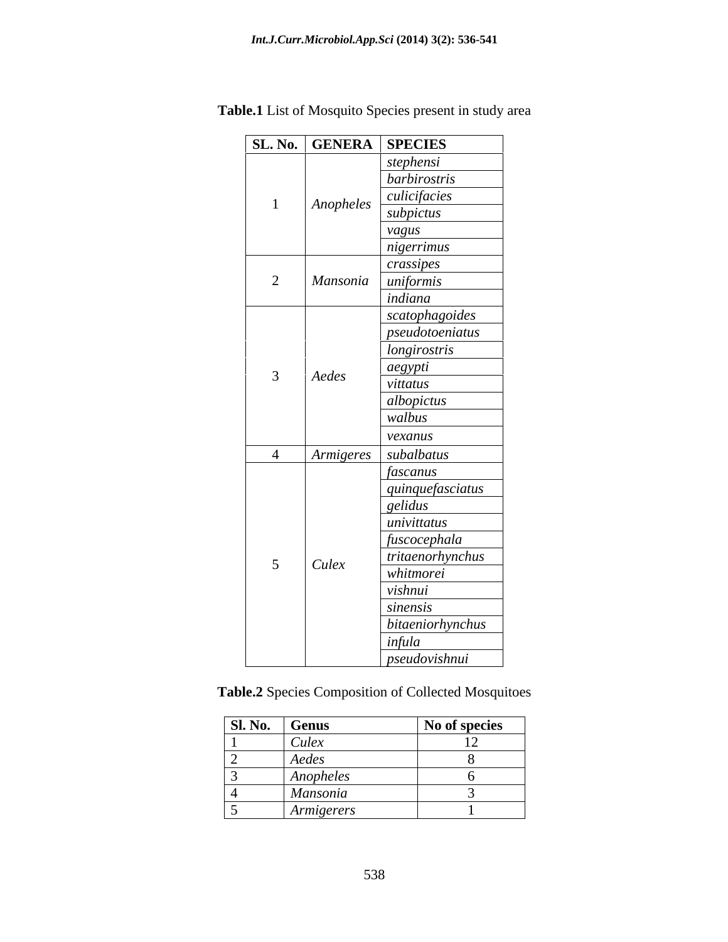|                |           | SL. No.   GENERA   SPECIES |
|----------------|-----------|----------------------------|
|                |           | stephensi                  |
|                |           | barbirostris               |
|                | Anopheles | culicifacies               |
|                |           | subpictus                  |
|                |           | vagus                      |
|                |           | nigerrimus                 |
|                |           | crassipes                  |
| $\overline{2}$ |           | Mansonia uniformis         |
|                |           | indiana                    |
|                |           | scatophagoides             |
|                |           | pseudotoeniatus            |
|                |           | longirostris               |
| 3 <sup>7</sup> | Aedes     | aegypti                    |
|                |           | vittatus                   |
|                |           | albopictus<br>walbus       |
|                |           |                            |
|                |           | vexanus                    |
|                |           | Armigeres subalbatus       |
|                |           | fascanus                   |
|                |           | quinquefasciatus           |
|                |           | gelidus                    |
|                |           | univittatus                |
|                |           | fuscocephala               |
| 5 <sup>5</sup> | Culex     | tritaenorhynchus           |
|                |           | whitmorei                  |
|                |           | vishnui                    |
|                |           | sinensis                   |
|                |           | bitaeniorhynchus           |
|                |           |                            |
|                |           | infula<br>pseudovishnui    |

**Table.1** List of Mosquito Species present in study area

**Table.2** Species Composition of Collected Mosquitoes

| Sl. No. | <b>Genus</b> | No of species |
|---------|--------------|---------------|
|         | Culex        |               |
| -       | Aedes        |               |
|         | Anopheles    |               |
|         | Mansonia     |               |
| ັ       | Armigerers   |               |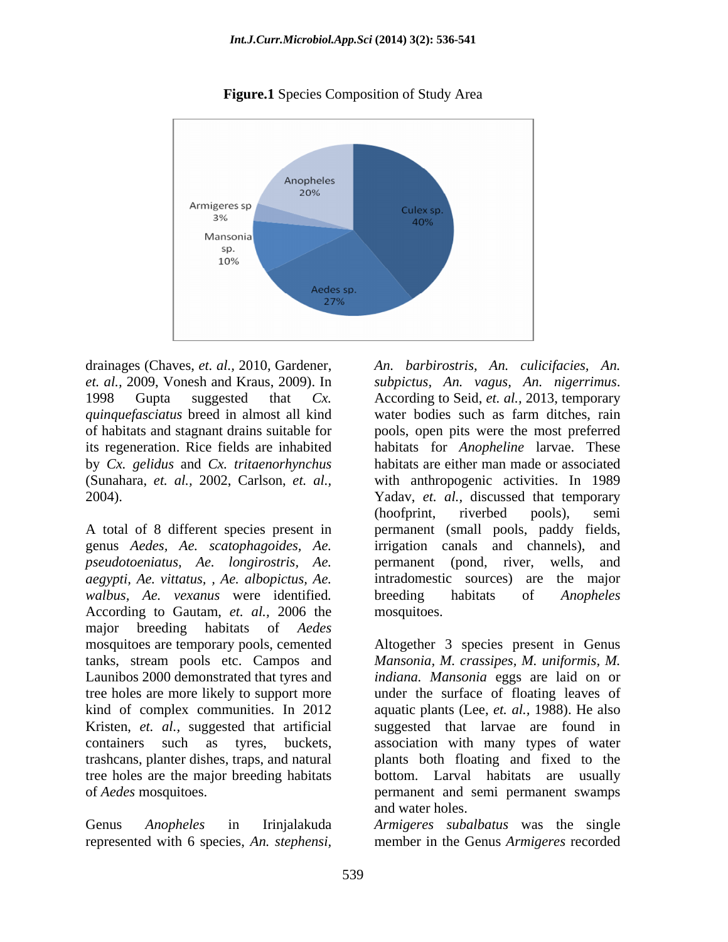

**Figure.1** Species Composition of Study Area

drainages (Chaves, et. al., 2010, Gardener, An. barbirostris, An. culicifacies, An. *et. al.,* 2009, Vonesh and Kraus, 2009). In 1998 Gupta suggested that *Cx*. According to Seid, *et. al.*, 2013, temporary *quinquefasciatus* breed in almost all kind by *Cx. gelidus* and *Cx. tritaenorhynchus*

*pseudotoeniatus, Ae. longirostris, Ae. walbus, Ae. vexanus* were identified*.* According to Gautam, *et. al.,* 2006 the major breeding habitats of *Aedes* detainages Chaves, et. at, 2010, Gardener,  $A$ . bathivastris, An. valuefactions, An. values and the analytical suggested that Cx. According to Desid, et. at, 2009, Vonesh and Kraus, 2009). In subjections, An. vagues, An.

of habitats and stagnant drains suitable for pools, open pits were the most preferred its regeneration. Rice fields are inhabited habitats for *Anopheline* larvae. These (Sunahara, *et. al.,* 2002, Carlson, *et. al.,* with anthropogenic activities. In 1989 2004). Yadav, *et. al.,* discussed that temporary A total of 8 different species present in permanent (small pools, paddy fields, genus *Aedes, Ae. scatophagoides, Ae.* irrigation canals and channels), and *aegypti, Ae. vittatus, , Ae. albopictus, Ae.* intradomestic sources) are the major water bodies such as farm ditches, rain habitats are either man made or associated (hoofprint, riverbed pools), semi permanent (pond, river, wells, and breeding habitats of *Anopheles* mosquitoes.

mosquitoes are temporary pools, cemented Altogether 3 species present in Genus tanks, stream pools etc. Campos and *Mansonia, M. crassipes, M. uniformis, M.* Launibos 2000 demonstrated that tyres and *indiana. Mansonia* eggs are laid on or tree holes are more likely to support more under the surface of floating leaves of kind of complex communities. In 2012 aquatic plants (Lee, *et. al.,* 1988). He also Kristen, *et. al.,* suggested that artificial suggested that larvae are found in containers such as tyres, buckets, association with many types of water trashcans, planter dishes, traps, and natural plants both floating and fixed to the tree holes are the major breeding habitats bottom. Larval habitats are usually of *Aedes* mosquitoes. permanent and semi permanent swamps and water holes.

Genus *Anopheles* in Irinjalakuda *Armigeres subalbatus* was the single member in the Genus *Armigeres* recorded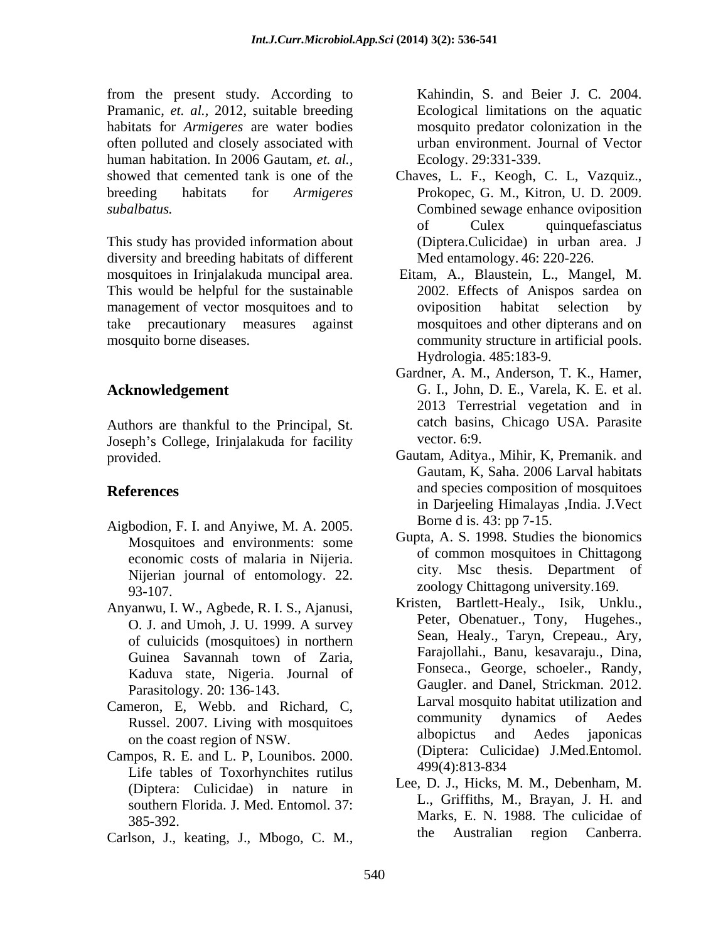from the present study*.* According to Pramanic, *et. al.,* 2012, suitable breeding habitats for *Armigeres* are water bodies often polluted and closely associated with human habitation. In 2006 Gautam, *et. al.,* showed that cemented tank is one of the Chaves, L. F., Keogh, C. L, Vazquiz., breeding habitats for *Armigeres subalbatus.* Combined sewage enhance oviposition

This study has provided information about diversity and breeding habitats of different mosquitoes in Irinjalakuda muncipal area. This would be helpful for the sustainable management of vector mosquitoes and to by oviposition habitat selection by take precautionary measures against mosquitoes and other dipterans and on mosquito borne diseases. The community structure in artificial pools.

Authors are thankful to the Principal, St. catch basin<br>
Ioseph's College Irinialakuda for facility vector, 6:9. Joseph's College, Irinjalakuda for facility

- Aigbodion, F. I. and Anyiwe, M. A. 2005. Borne d is. 45: pp 7-15.<br>Mosquitoes and environments: some Gupta, A. S. 1998. Studies the bionomics economic costs of malaria in Nijeria. Nijerian journal of entomology. 22. 93-107. zoology Chittagong university.169.
- Anyanwu, I. W., Agbede, R. I. S., Ajanusi, O. J. and Umoh, J. U. 1999. A survey of culuicids (mosquitoes) in northern Guinea Savannah town of Zaria, Kaduva state, Nigeria. Journal of Parasitology. 20: 136-143.
- Cameron, E, Webb. and Richard, C,<br>Bussel 2007 Living with mescuitose and community dynamics of Aedes on the coast region of NSW.
- Campos, R. E. and L. P, Lounibos. 2000. (Diplera: Cunciae) J.Med. Entomol.<br>Life tables of Toxorhynchites rutilus  $\frac{499(4):813-834}{499(1:813-81)}$ (Diptera: Culicidae) in nature in southern Florida. J. Med. Entomol. 37:
- Carlson, J., keating, J., Mbogo, C. M., the Australian region Canberra.

Kahindin, S. and Beier J. C. 2004. Ecological limitations on the aquatic mosquito predator colonization in the urban environment. Journal of Vector Ecology. 29:331-339.

- Prokopec, G. M., Kitron, U. D. 2009. Combined sewage enhance oviposition of Culex quinquefasciatus (Diptera.Culicidae) in urban area. J Med entamology. 46: 220-226.
- Eitam, A., Blaustein, L., Mangel, M. 2002. Effects of Anispos sardea on oviposition habitat selection by Hydrologia. 485:183-9.
- **Acknowledgement**  G. I., John, D. E., Varela, K. E. et al. Gardner, A. M., Anderson, T. K., Hamer, 2013 Terrestrial vegetation and in catch basins, Chicago USA. Parasite vector. 6:9.
- provided. Gautam, Aditya., Mihir, K, Premanik. and **References** and species composition of mosquitoes Gautam, K, Saha. 2006 Larval habitats in Darjeeling Himalayas ,India. J.Vect Borne d is. 43: pp 7-15.
	- Gupta, A. S. 1998. Studies the bionomics of common mosquitoes in Chittagong city. Msc thesis. Department of
	- Russel. 2007. Living with mosquitoes community dynamics of Aedes<br>albopictus and Aedes iaponicas Kristen, Bartlett-Healy., Isik, Unklu., Peter, Obenatuer., Tony, Hugehes., Sean, Healy., Taryn, Crepeau., Ary, Farajollahi., Banu, kesavaraju., Dina, Fonseca., George, schoeler., Randy, Gaugler. and Danel, Strickman. 2012. Larval mosquito habitat utilization and community dynamics of Aedes albopictus and Aedes japonicas (Diptera: Culicidae) J.Med.Entomol. 499(4):813-834
	- Marks, E. N. 1988. The culicidae of Marks, E. N. 1988. The culicidae of Lee, D. J., Hicks, M. M., Debenham, M. L., Griffiths, M., Brayan, J. H. and the Australian region Canberra.